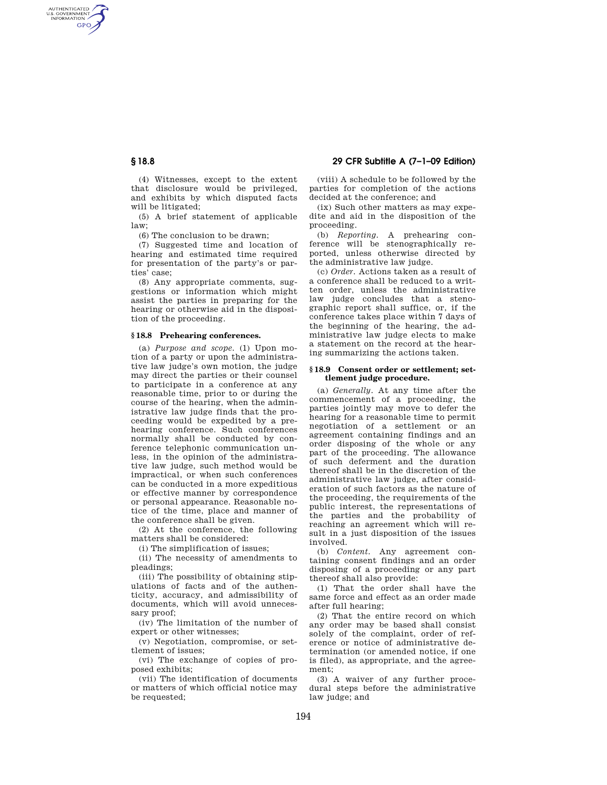AUTHENTICATED<br>U.S. GOVERNMENT<br>INFORMATION **GPO** 

> (4) Witnesses, except to the extent that disclosure would be privileged, and exhibits by which disputed facts will be litigated;

(5) A brief statement of applicable law;

(6) The conclusion to be drawn;

(7) Suggested time and location of hearing and estimated time required for presentation of the party's or parties' case;

(8) Any appropriate comments, suggestions or information which might assist the parties in preparing for the hearing or otherwise aid in the disposition of the proceeding.

#### **§ 18.8 Prehearing conferences.**

(a) *Purpose and scope.* (1) Upon motion of a party or upon the administrative law judge's own motion, the judge may direct the parties or their counsel to participate in a conference at any reasonable time, prior to or during the course of the hearing, when the administrative law judge finds that the proceeding would be expedited by a prehearing conference. Such conferences normally shall be conducted by conference telephonic communication unless, in the opinion of the administrative law judge, such method would be impractical, or when such conferences can be conducted in a more expeditious or effective manner by correspondence or personal appearance. Reasonable notice of the time, place and manner of the conference shall be given.

(2) At the conference, the following matters shall be considered:

(i) The simplification of issues;

(ii) The necessity of amendments to pleadings;

(iii) The possibility of obtaining stipulations of facts and of the authenticity, accuracy, and admissibility of documents, which will avoid unnecessary proof;

(iv) The limitation of the number of expert or other witnesses;

(v) Negotiation, compromise, or settlement of issues;

(vi) The exchange of copies of proposed exhibits;

(vii) The identification of documents or matters of which official notice may be requested;

**§ 18.8 29 CFR Subtitle A (7–1–09 Edition)** 

(viii) A schedule to be followed by the parties for completion of the actions decided at the conference; and

(ix) Such other matters as may expedite and aid in the disposition of the proceeding.

(b) *Reporting.* A prehearing conference will be stenographically reported, unless otherwise directed by the administrative law judge.

(c) *Order.* Actions taken as a result of a conference shall be reduced to a written order, unless the administrative law judge concludes that a stenographic report shall suffice, or, if the conference takes place within 7 days of the beginning of the hearing, the administrative law judge elects to make a statement on the record at the hearing summarizing the actions taken.

### **§ 18.9 Consent order or settlement; settlement judge procedure.**

(a) *Generally.* At any time after the commencement of a proceeding, the parties jointly may move to defer the hearing for a reasonable time to permit negotiation of a settlement or an agreement containing findings and an order disposing of the whole or any part of the proceeding. The allowance of such deferment and the duration thereof shall be in the discretion of the administrative law judge, after consideration of such factors as the nature of the proceeding, the requirements of the public interest, the representations of the parties and the probability of reaching an agreement which will result in a just disposition of the issues involved.

(b) *Content.* Any agreement containing consent findings and an order disposing of a proceeding or any part thereof shall also provide:

(1) That the order shall have the same force and effect as an order made after full hearing;

(2) That the entire record on which any order may be based shall consist solely of the complaint, order of reference or notice of administrative determination (or amended notice, if one is filed), as appropriate, and the agreement;

(3) A waiver of any further procedural steps before the administrative law judge; and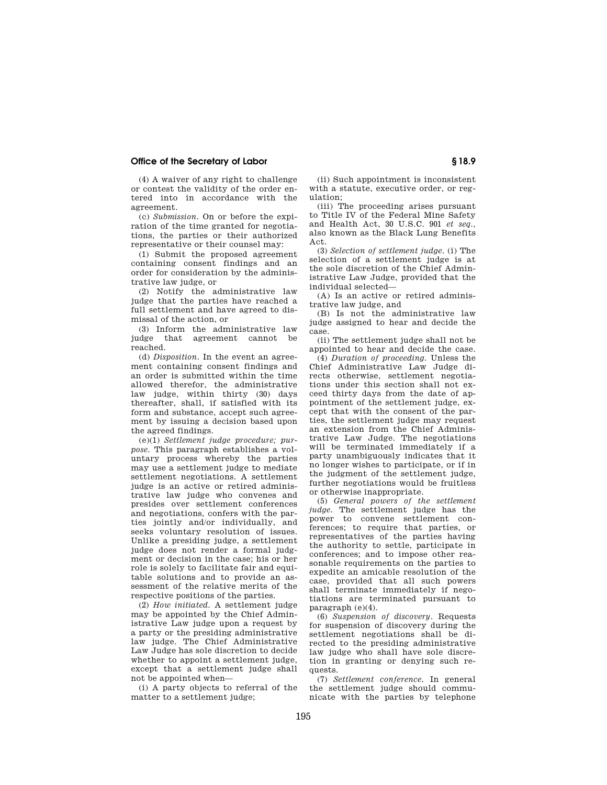# **Office of the Secretary of Labor § 18.9**

(4) A waiver of any right to challenge or contest the validity of the order entered into in accordance with the agreement.

(c) *Submission.* On or before the expiration of the time granted for negotiations, the parties or their authorized representative or their counsel may:

(1) Submit the proposed agreement containing consent findings and an order for consideration by the administrative law judge, or

(2) Notify the administrative law judge that the parties have reached a full settlement and have agreed to dismissal of the action, or

(3) Inform the administrative law judge that agreement cannot be reached.

(d) *Disposition.* In the event an agreement containing consent findings and an order is submitted within the time allowed therefor, the administrative law judge, within thirty (30) days thereafter, shall, if satisfied with its form and substance, accept such agreement by issuing a decision based upon the agreed findings.

(e)(1) *Settlement judge procedure; purpose.* This paragraph establishes a voluntary process whereby the parties may use a settlement judge to mediate settlement negotiations. A settlement judge is an active or retired administrative law judge who convenes and presides over settlement conferences and negotiations, confers with the parties jointly and/or individually, and seeks voluntary resolution of issues. Unlike a presiding judge, a settlement judge does not render a formal judgment or decision in the case; his or her role is solely to facilitate fair and equitable solutions and to provide an assessment of the relative merits of the respective positions of the parties.

(2) *How initiated.* A settlement judge may be appointed by the Chief Administrative Law judge upon a request by a party or the presiding administrative law judge. The Chief Administrative Law Judge has sole discretion to decide whether to appoint a settlement judge, except that a settlement judge shall not be appointed when—

(i) A party objects to referral of the matter to a settlement judge;

(ii) Such appointment is inconsistent with a statute, executive order, or regulation;

(iii) The proceeding arises pursuant to Title IV of the Federal Mine Safety and Health Act, 30 U.S.C. 901 *et seq.,*  also known as the Black Lung Benefits Act.

(3) *Selection of settlement judge.* (i) The selection of a settlement judge is at the sole discretion of the Chief Administrative Law Judge, provided that the individual selected—

(A) Is an active or retired administrative law judge, and

(B) Is not the administrative law judge assigned to hear and decide the case.

(ii) The settlement judge shall not be appointed to hear and decide the case.

(4) *Duration of proceeding.* Unless the Chief Administrative Law Judge directs otherwise, settlement negotiations under this section shall not exceed thirty days from the date of appointment of the settlement judge, except that with the consent of the parties, the settlement judge may request an extension from the Chief Administrative Law Judge. The negotiations will be terminated immediately if a party unambiguously indicates that it no longer wishes to participate, or if in the judgment of the settlement judge, further negotiations would be fruitless or otherwise inappropriate.

(5) *General powers of the settlement judge.* The settlement judge has the power to convene settlement conferences; to require that parties, or representatives of the parties having the authority to settle, participate in conferences; and to impose other reasonable requirements on the parties to expedite an amicable resolution of the case, provided that all such powers shall terminate immediately if negotiations are terminated pursuant to paragraph (e)(4).

(6) *Suspension of discovery.* Requests for suspension of discovery during the settlement negotiations shall be directed to the presiding administrative law judge who shall have sole discretion in granting or denying such requests.

(7) *Settlement conference.* In general the settlement judge should communicate with the parties by telephone